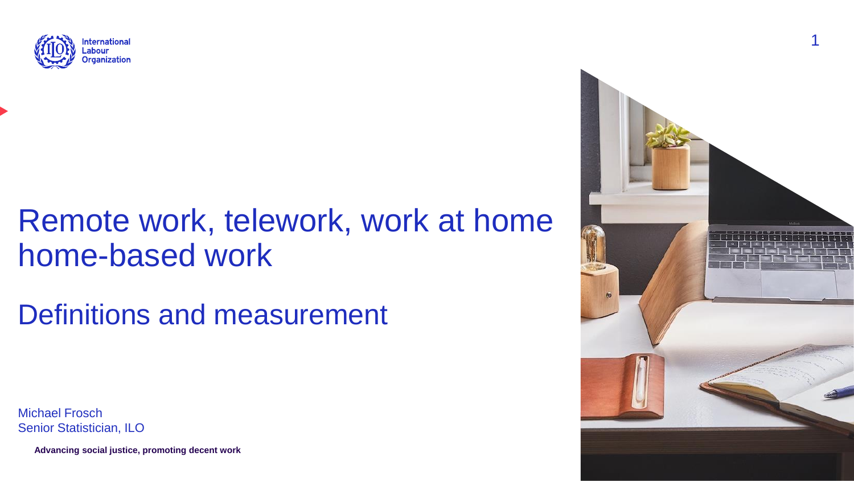

## Remote work, telework, work at home home-based work

Definitions and measurement

Michael Frosch Senior Statistician, ILO

**Advancing social justice, promoting decent work**

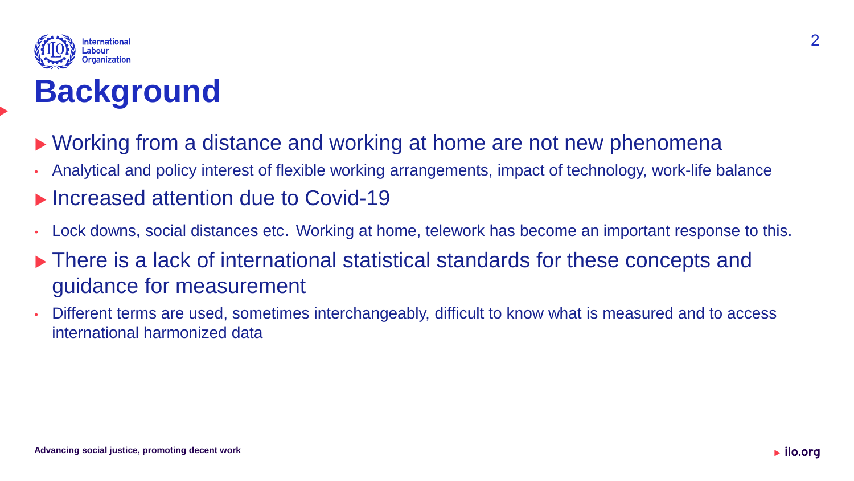

## **Background**

- ▶ Working from a distance and working at home are not new phenomena
- Analytical and policy interest of flexible working arrangements, impact of technology, work-life balance
- ▶ Increased attention due to Covid-19
- Lock downs, social distances etc. Working at home, telework has become an important response to this.
- ▶ There is a lack of international statistical standards for these concepts and guidance for measurement
- Different terms are used, sometimes interchangeably, difficult to know what is measured and to access international harmonized data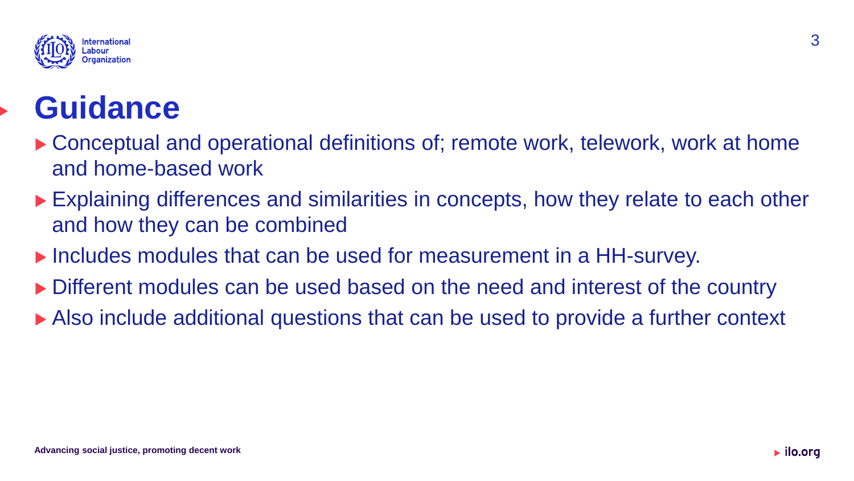

## **Guidance**

- ▶ Conceptual and operational definitions of; remote work, telework, work at home and home-based work
- Explaining differences and similarities in concepts, how they relate to each other and how they can be combined
- ▶ Includes modules that can be used for measurement in a HH-survey.
- Different modules can be used based on the need and interest of the country
- Also include additional questions that can be used to provide a further context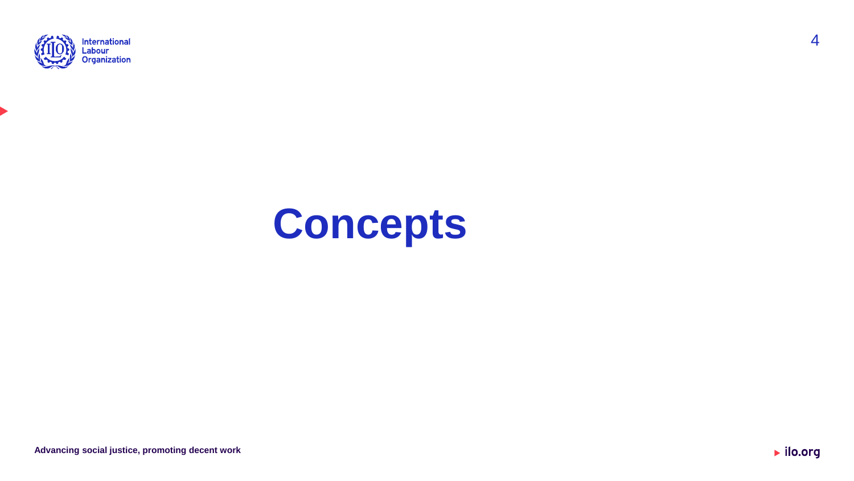



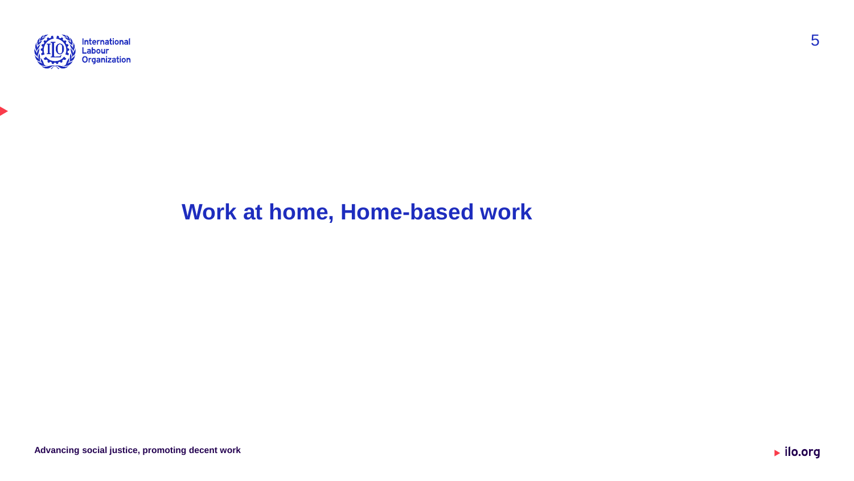

#### **Work at home, Home-based work**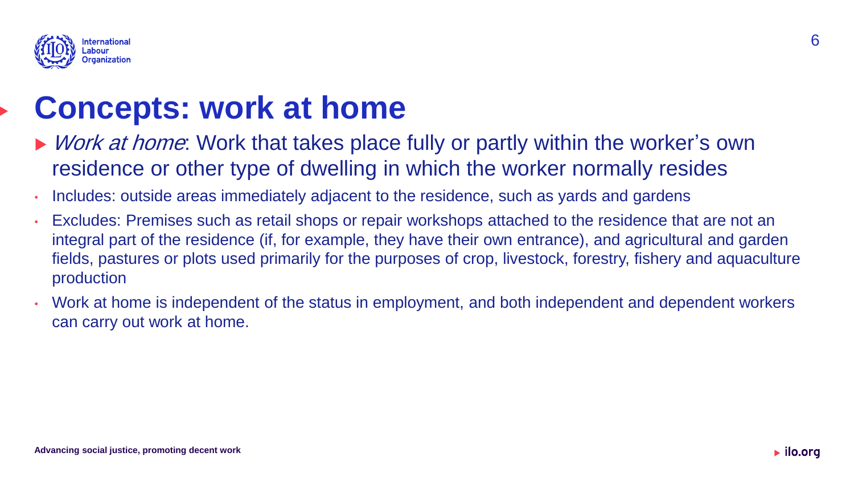

### **Concepts: work at home**

- ▶ *Work at home*: Work that takes place fully or partly within the worker's own residence or other type of dwelling in which the worker normally resides
- Includes: outside areas immediately adjacent to the residence, such as yards and gardens
- Excludes: Premises such as retail shops or repair workshops attached to the residence that are not an integral part of the residence (if, for example, they have their own entrance), and agricultural and garden fields, pastures or plots used primarily for the purposes of crop, livestock, forestry, fishery and aquaculture production
- Work at home is independent of the status in employment, and both independent and dependent workers can carry out work at home.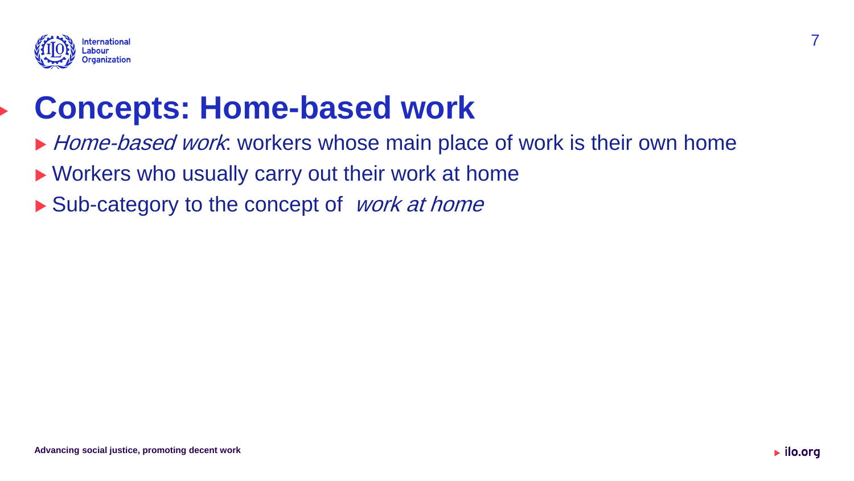

### **Concepts: Home-based work**

- Home-based work: workers whose main place of work is their own home
- ▶ Workers who usually carry out their work at home
- $\blacktriangleright$  Sub-category to the concept of *work at home*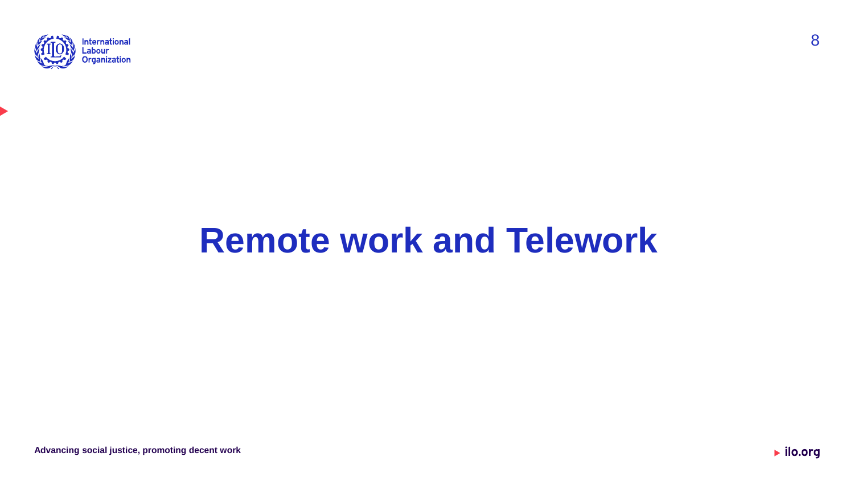

# **Remote work and Telework**

 $\blacktriangleright$  ilo.org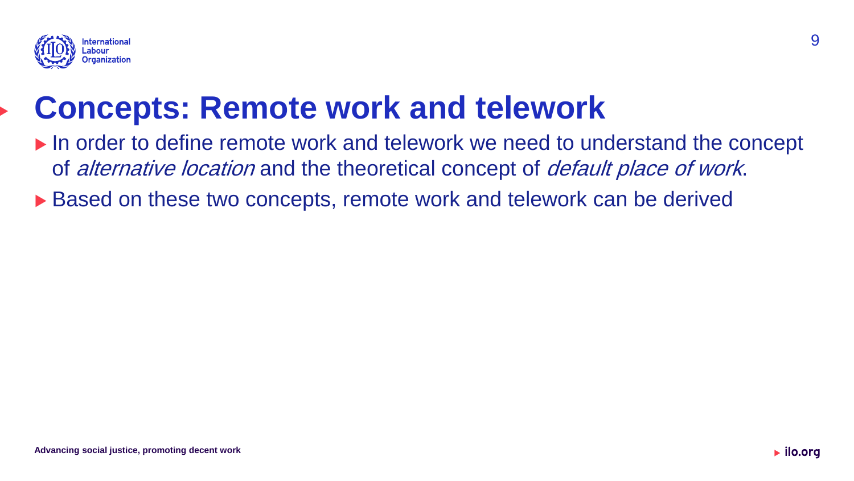

### **Concepts: Remote work and telework**

- ▶ In order to define remote work and telework we need to understand the concept of *alternative location* and the theoretical concept of *default place of work*.
- ▶ Based on these two concepts, remote work and telework can be derived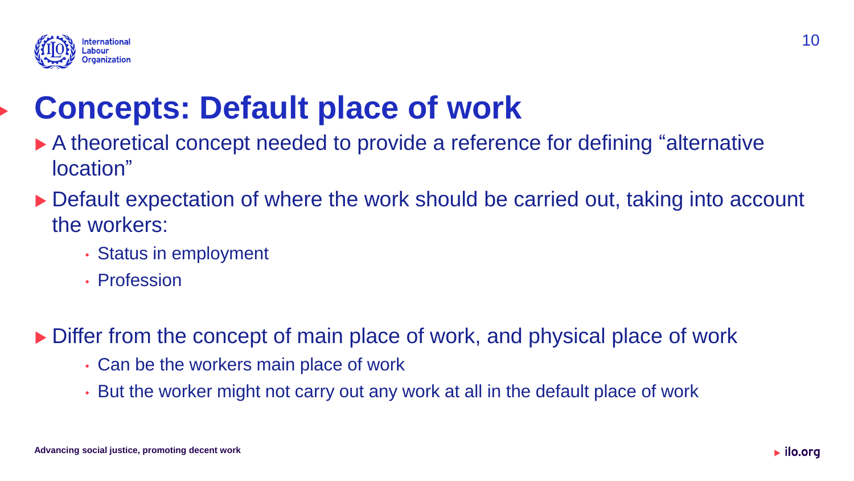

## **Concepts: Default place of work**

- A theoretical concept needed to provide a reference for defining "alternative location"
- ▶ Default expectation of where the work should be carried out, taking into account the workers:
	- Status in employment
	- Profession

Differ from the concept of main place of work, and physical place of work

- Can be the workers main place of work
- But the worker might not carry out any work at all in the default place of work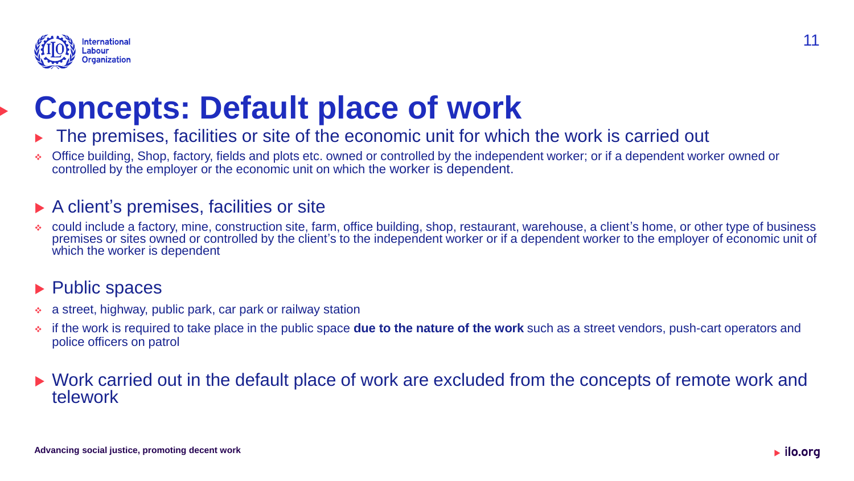

## **Concepts: Default place of work**

- The premises, facilities or site of the economic unit for which the work is carried out
- ❖ Office building, Shop, factory, fields and plots etc. owned or controlled by the independent worker; or if a dependent worker owned or controlled by the employer or the economic unit on which the worker is dependent.

#### ▶ A client's premises, facilities or site

❖ could include a factory, mine, construction site, farm, office building, shop, restaurant, warehouse, a client's home, or other type of business premises or sites owned or controlled by the client's to the independent worker or if a dependent worker to the employer of economic unit of which the worker is dependent

#### ▶ Public spaces

- a street, highway, public park, car park or railway station
- ❖ if the work is required to take place in the public space **due to the nature of the work** such as a street vendors, push-cart operators and police officers on patrol

#### ▶ Work carried out in the default place of work are excluded from the concepts of remote work and telework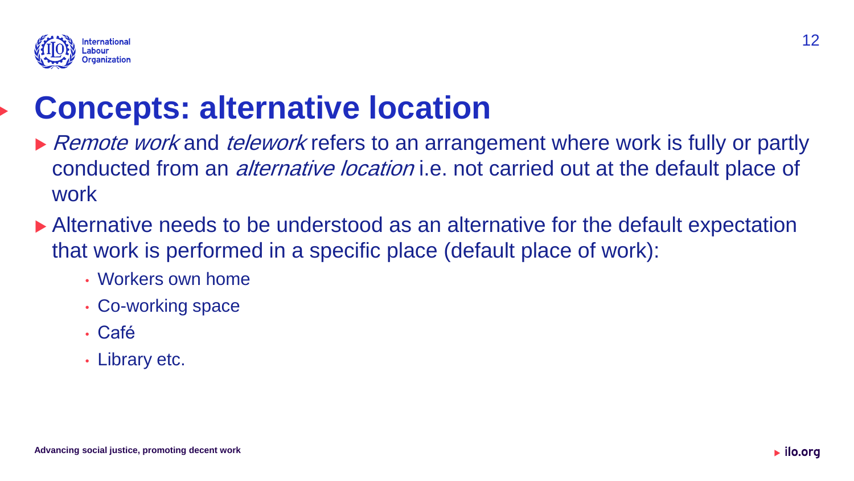

## **Concepts: alternative location**

- Remote work and telework refers to an arrangement where work is fully or partly conducted from an *alternative location* i.e. not carried out at the default place of work
- Alternative needs to be understood as an alternative for the default expectation that work is performed in a specific place (default place of work):
	- Workers own home
	- Co-working space
	- Café
	- Library etc.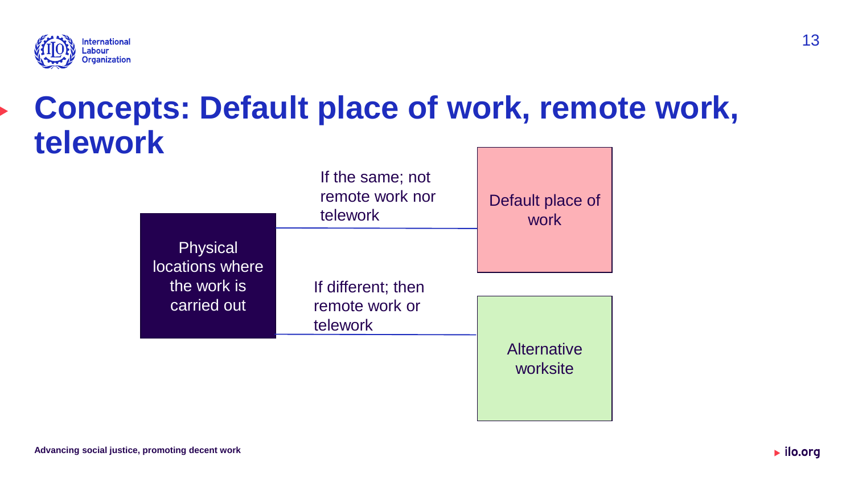

### **Concepts: Default place of work, remote work, telework**

|                                                   | If the same; not<br>remote work nor<br>telework | Default place of<br><b>work</b> |
|---------------------------------------------------|-------------------------------------------------|---------------------------------|
| <b>Physical</b><br>locations where<br>the work is | If different; then                              |                                 |
| carried out                                       | remote work or<br>telework                      |                                 |
|                                                   |                                                 | <b>Alternative</b><br>worksite  |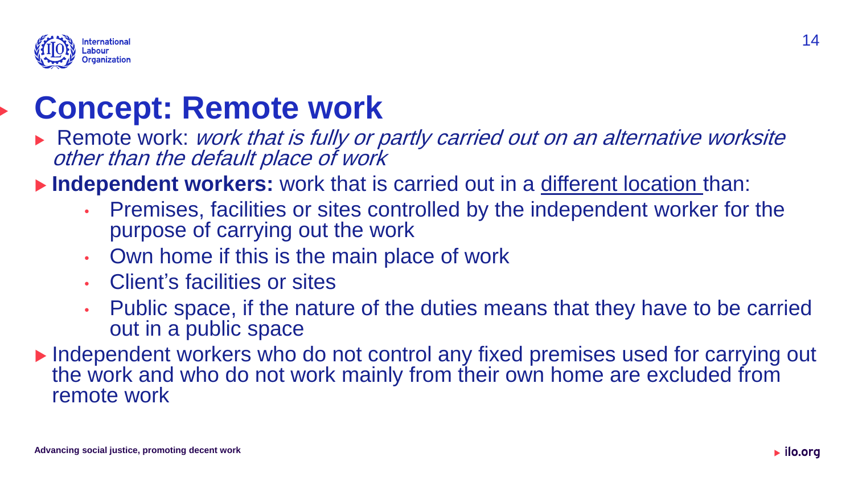

### **Concept: Remote work**

Remote work: work that is fully or partly carried out on an alternative worksite other than the default place of work

**Independent workers:** work that is carried out in a different location than:

- Premises, facilities or sites controlled by the independent worker for the purpose of carrying out the work
- Own home if this is the main place of work
- Client's facilities or sites
- Public space, if the nature of the duties means that they have to be carried out in a public space
- ▶ Independent workers who do not control any fixed premises used for carrying out the work and who do not work mainly from their own home are excluded from remote work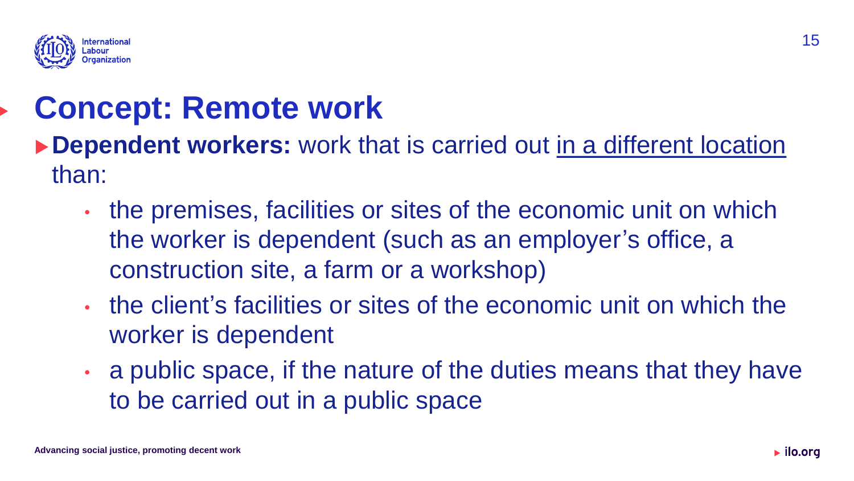

### **Concept: Remote work**

- ▶ Dependent workers: work that is carried out in a different location than:
	- the premises, facilities or sites of the economic unit on which the worker is dependent (such as an employer's office, a construction site, a farm or a workshop)
	- the client's facilities or sites of the economic unit on which the worker is dependent
	- a public space, if the nature of the duties means that they have to be carried out in a public space

15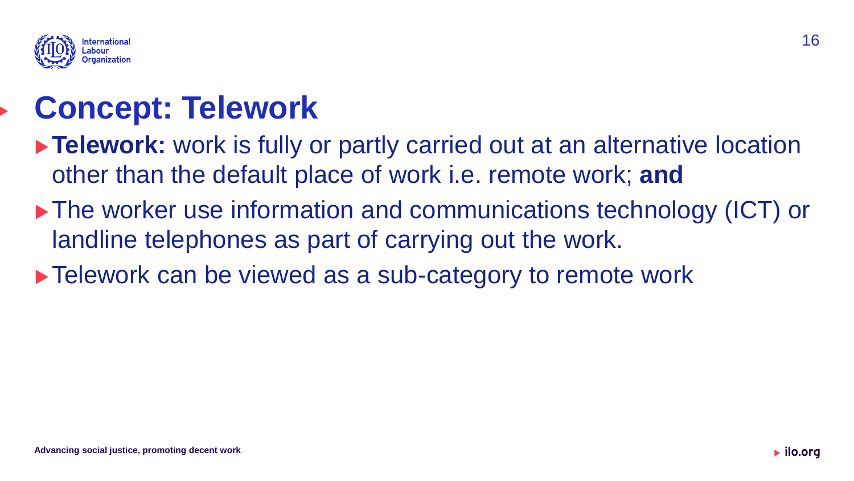

## **Concept: Telework**

- **Telework:** work is fully or partly carried out at an alternative location other than the default place of work i.e. remote work; **and**
- ▶ The worker use information and communications technology (ICT) or landline telephones as part of carrying out the work.
- ▶ Telework can be viewed as a sub-category to remote work

16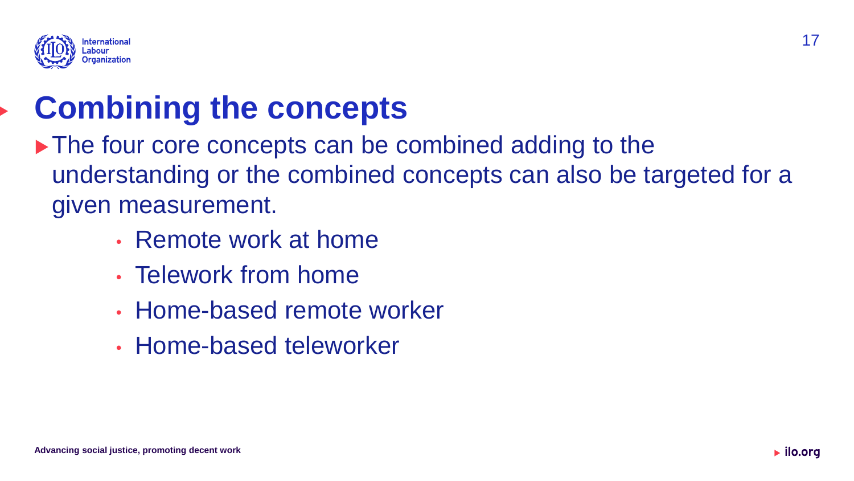

### **Combining the concepts**

- ▶ The four core concepts can be combined adding to the understanding or the combined concepts can also be targeted for a given measurement.
	- Remote work at home
	- Telework from home
	- Home-based remote worker
	- Home-based teleworker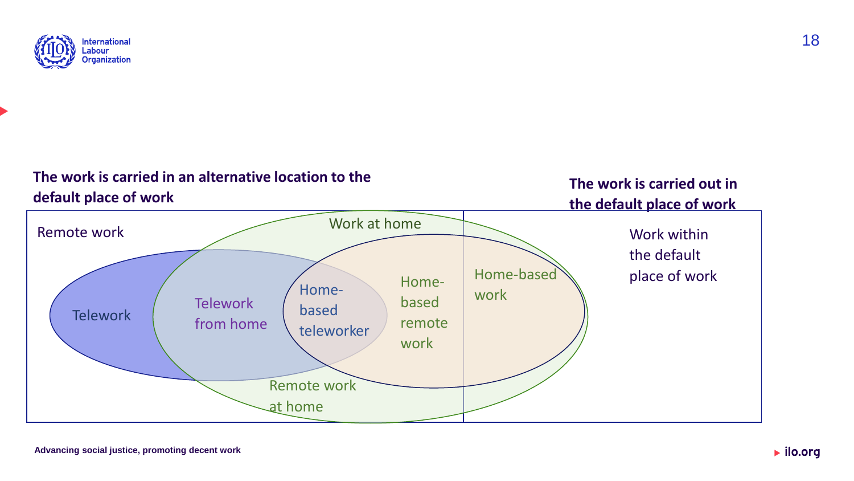

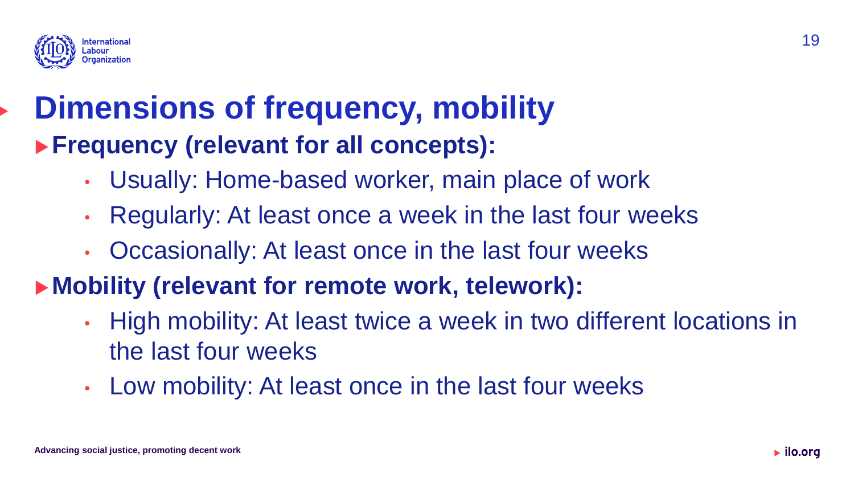

#### **Dimensions of frequency, mobility Frequency (relevant for all concepts):**

- Usually: Home-based worker, main place of work
- Regularly: At least once a week in the last four weeks
- Occasionally: At least once in the last four weeks

#### **Mobility (relevant for remote work, telework):**

- High mobility: At least twice a week in two different locations in the last four weeks
- Low mobility: At least once in the last four weeks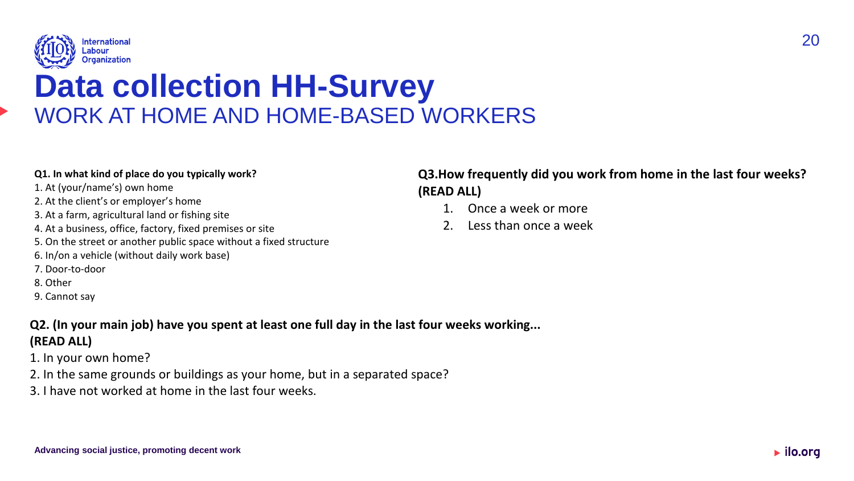

#### **Data collection HH-Survey**  WORK AT HOME AND HOME-BASED WORKERS

#### **Q1. In what kind of place do you typically work?**

- 1. At (your/name's) own home
- 2. At the client's or employer's home
- 3. At a farm, agricultural land or fishing site
- 4. At a business, office, factory, fixed premises or site
- 5. On the street or another public space without a fixed structure
- 6. In/on a vehicle (without daily work base)
- 7. Door-to-door
- 8. Other
- 9. Cannot say

#### **Q2. (In your main job) have you spent at least one full day in the last four weeks working... (READ ALL)**

- 1. In your own home?
- 2. In the same grounds or buildings as your home, but in a separated space?
- 3. I have not worked at home in the last four weeks.

#### **Q3.How frequently did you work from home in the last four weeks? (READ ALL)**

- 1. Once a week or more
- 2. Less than once a week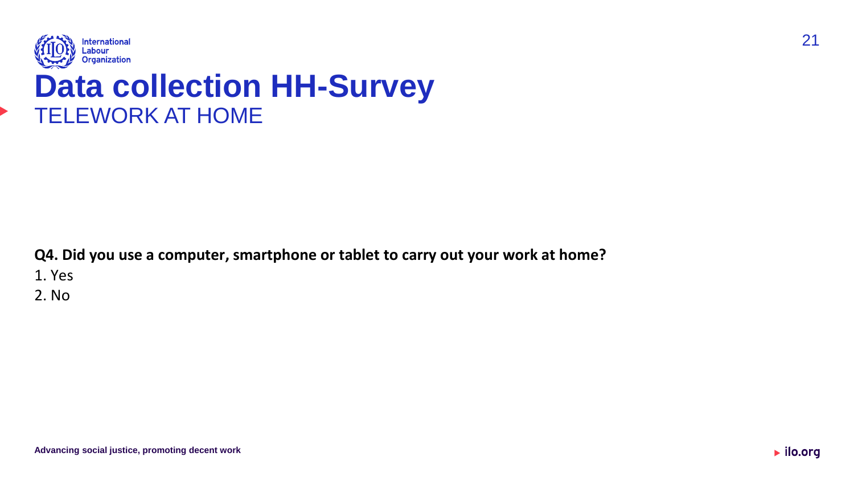

#### **Data collection HH-Survey**  TELEWORK AT HOME

**Q4. Did you use a computer, smartphone or tablet to carry out your work at home?** 1. Yes 2. No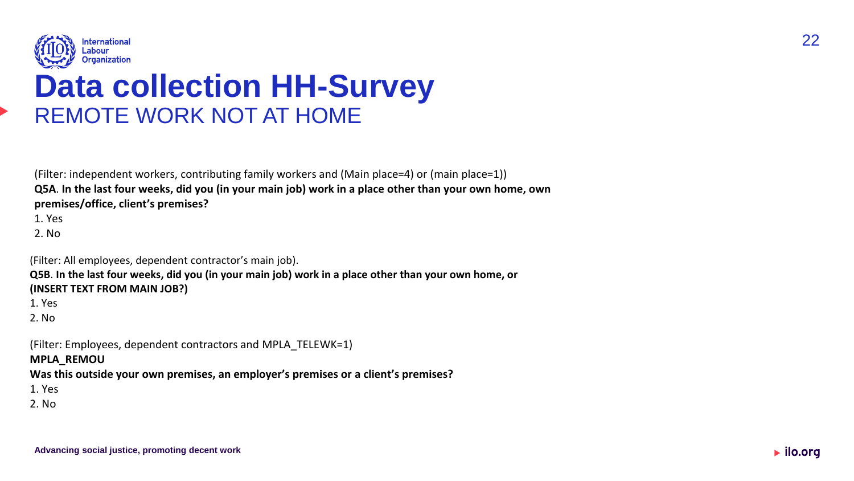

#### **Data collection HH-Survey**  REMOTE WORK NOT AT HOME

(Filter: independent workers, contributing family workers and (Main place=4) or (main place=1)) **Q5A**. **In the last four weeks, did you (in your main job) work in a place other than your own home, own premises/office, client's premises?** 

1. Yes

2. No

(Filter: All employees, dependent contractor's main job).

**Advancing social justice, promoting decent work**

**Q5B**. **In the last four weeks, did you (in your main job) work in a place other than your own home, or (INSERT TEXT FROM MAIN JOB?)**

1. Yes

2. No

(Filter: Employees, dependent contractors and MPLA\_TELEWK=1)

#### **MPLA\_REMOU**

**Was this outside your own premises, an employer's premises or a client's premises?**

1. Yes

2. No

22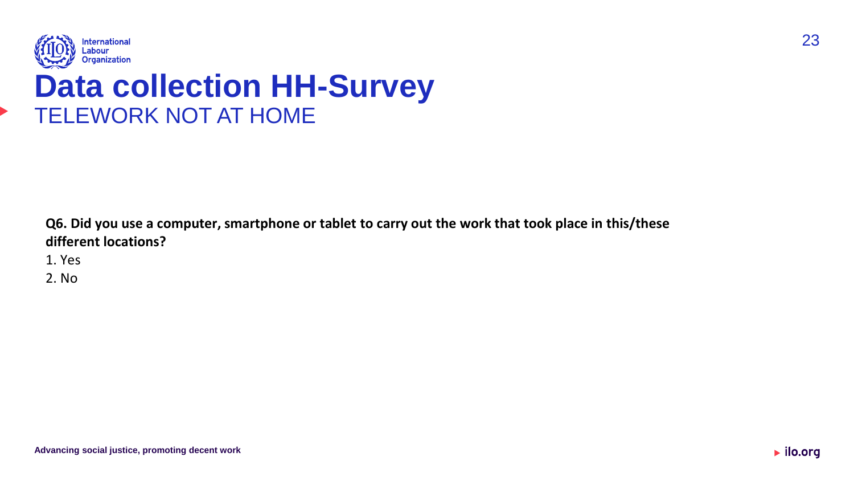

#### **Data collection HH-Survey**  TELEWORK NOT AT HOME

**Q6. Did you use a computer, smartphone or tablet to carry out the work that took place in this/these different locations?**

1. Yes

2. No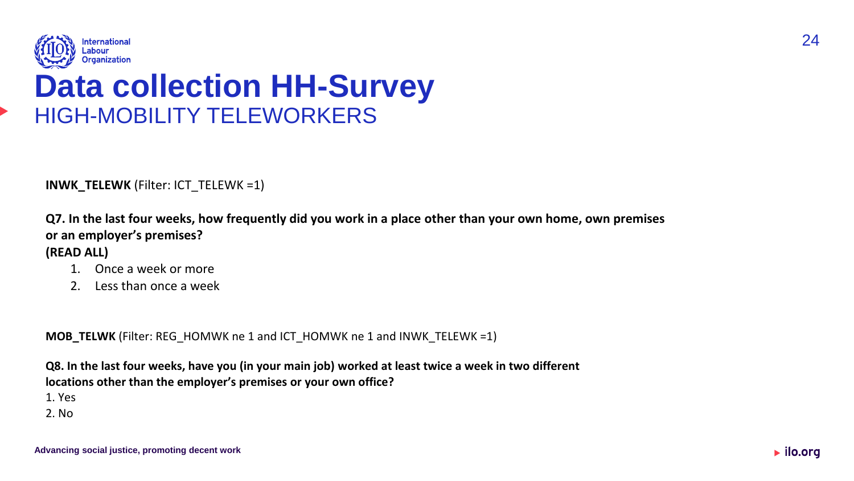

#### **Data collection HH-Survey**  HIGH-MOBILITY TELEWORKERS

**INWK\_TELEWK** (Filter: ICT\_TELEWK =1)

**Q7. In the last four weeks, how frequently did you work in a place other than your own home, own premises or an employer's premises? (READ ALL)**

- 1. Once a week or more
- 2. Less than once a week

**MOB\_TELWK** (Filter: REG\_HOMWK ne 1 and ICT\_HOMWK ne 1 and INWK\_TELEWK =1)

**Q8. In the last four weeks, have you (in your main job) worked at least twice <sup>a</sup> week in two different locations other than the employer's premises or your own office?**

1. Yes

2. No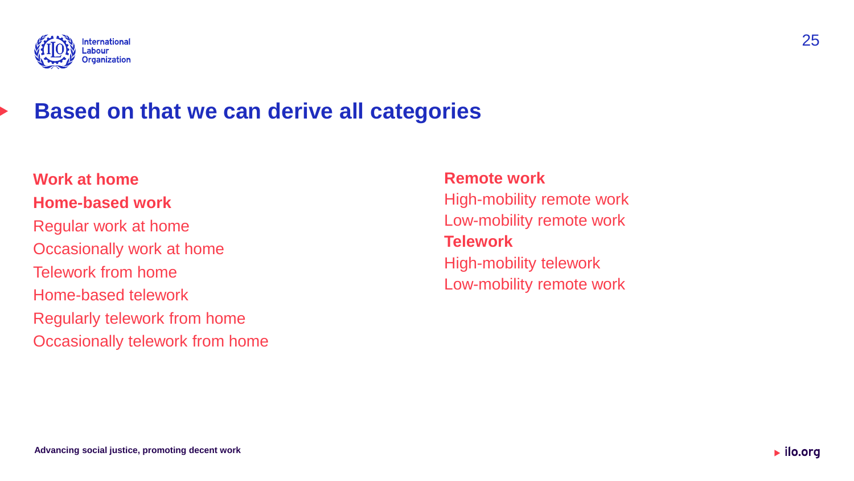

#### **Based on that we can derive all categories**

**Work at home Home-based work** Regular work at home Occasionally work at home Telework from home Home-based telework Regularly telework from home Occasionally telework from home

#### **Remote work**

High-mobility remote work Low-mobility remote work **Telework**

High-mobility telework Low-mobility remote work